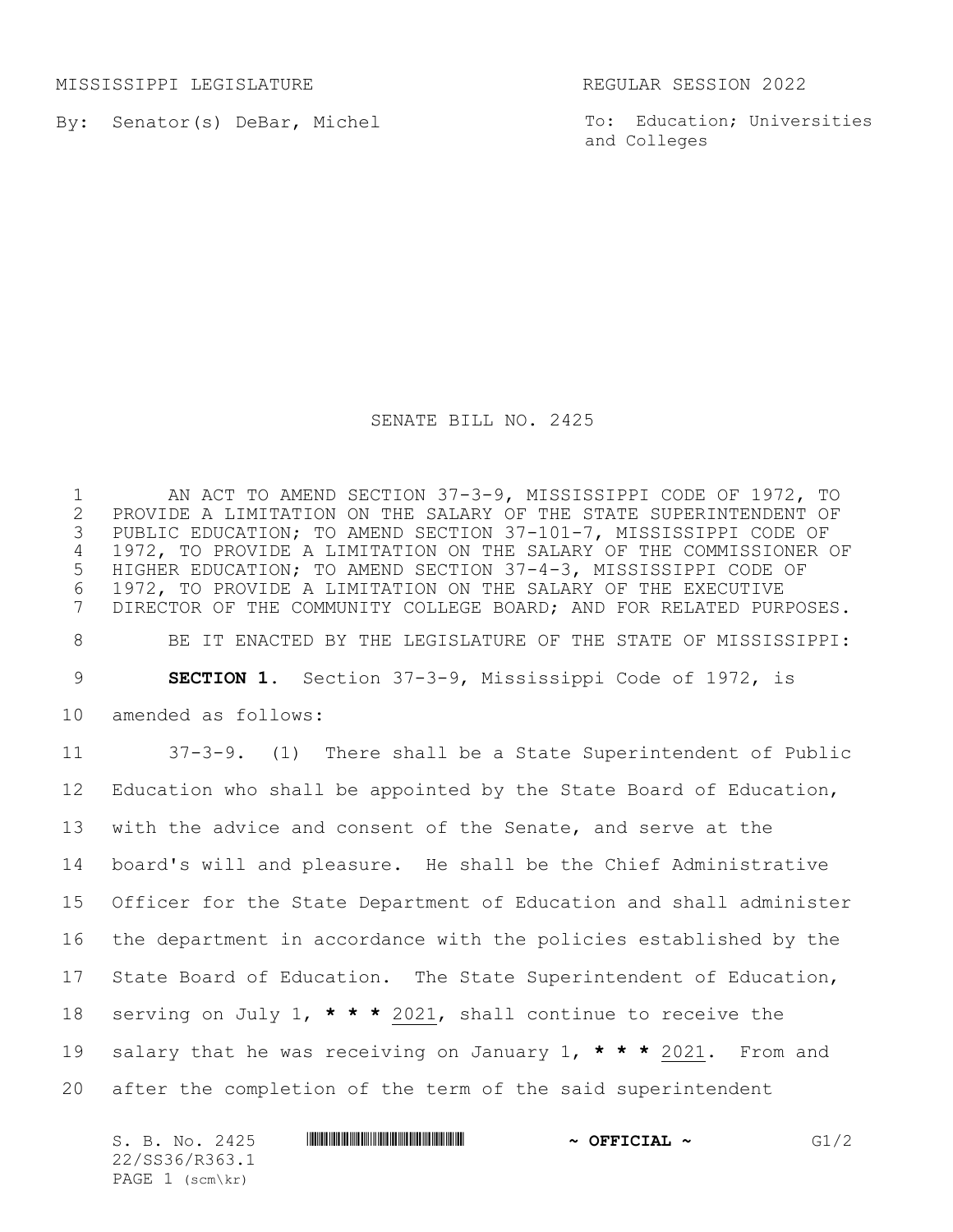MISSISSIPPI LEGISLATURE REGULAR SESSION 2022

By: Senator(s) DeBar, Michel

To: Education; Universities and Colleges

## SENATE BILL NO. 2425

 AN ACT TO AMEND SECTION 37-3-9, MISSISSIPPI CODE OF 1972, TO PROVIDE A LIMITATION ON THE SALARY OF THE STATE SUPERINTENDENT OF PUBLIC EDUCATION; TO AMEND SECTION 37-101-7, MISSISSIPPI CODE OF 1972, TO PROVIDE A LIMITATION ON THE SALARY OF THE COMMISSIONER OF HIGHER EDUCATION; TO AMEND SECTION 37-4-3, MISSISSIPPI CODE OF 1972, TO PROVIDE A LIMITATION ON THE SALARY OF THE EXECUTIVE DIRECTOR OF THE COMMUNITY COLLEGE BOARD; AND FOR RELATED PURPOSES. BE IT ENACTED BY THE LEGISLATURE OF THE STATE OF MISSISSIPPI: **SECTION 1.** Section 37-3-9, Mississippi Code of 1972, is amended as follows: 37-3-9. (1)There shall be a State Superintendent of Public 12 Education who shall be appointed by the State Board of Education, with the advice and consent of the Senate, and serve at the board's will and pleasure. He shall be the Chief Administrative Officer for the State Department of Education and shall administer the department in accordance with the policies established by the State Board of Education. The State Superintendent of Education, serving on July 1, **\* \* \*** 2021, shall continue to receive the salary that he was receiving on January 1, **\* \* \*** 2021. From and after the completion of the term of the said superintendent

 $S. B. No. 2425$  **\*Social 24.125 \*Social ~ OFFICIAL ~**  $G1/2$ 22/SS36/R363.1 PAGE 1 (scm\kr)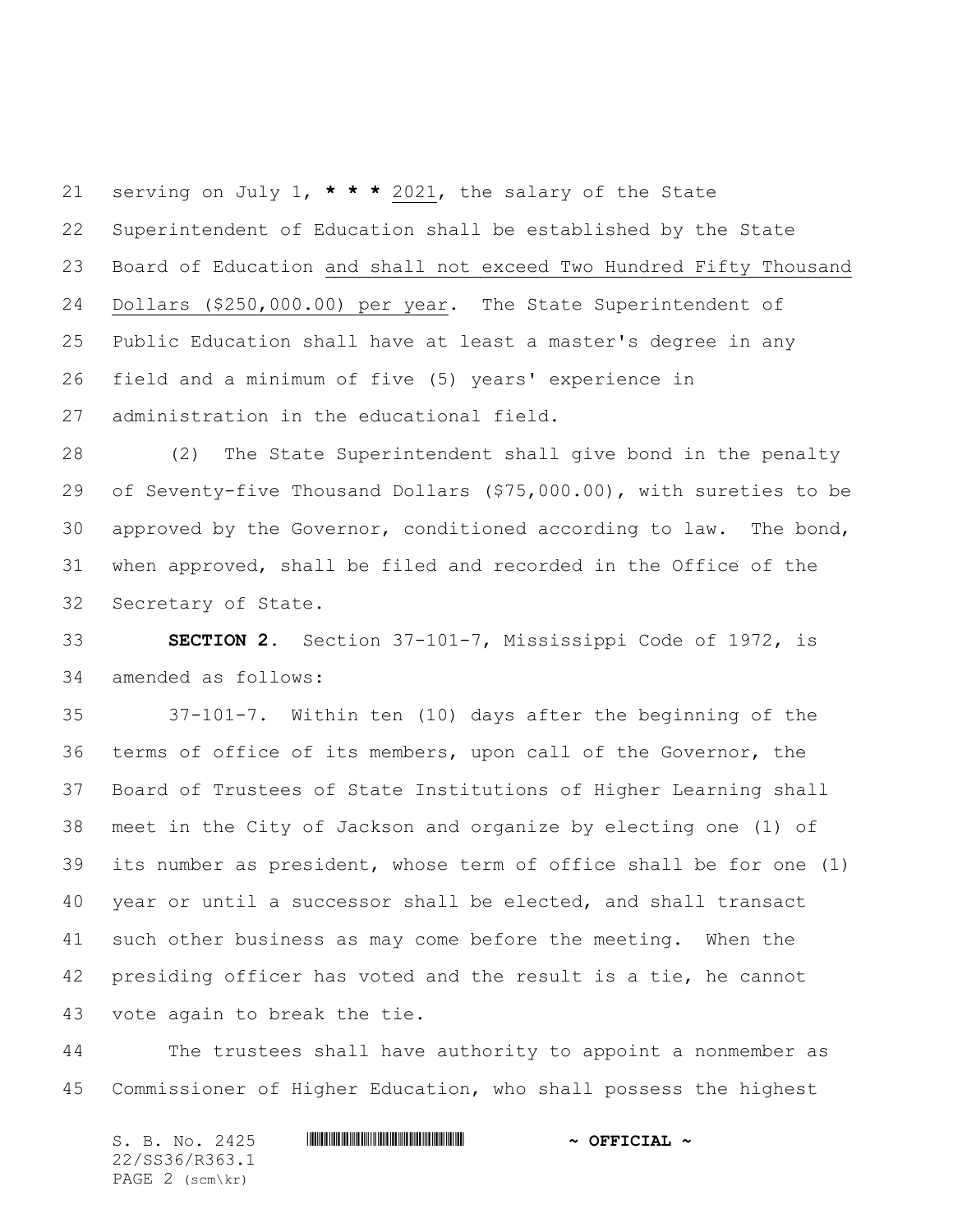serving on July 1, **\* \* \*** 2021, the salary of the State Superintendent of Education shall be established by the State Board of Education and shall not exceed Two Hundred Fifty Thousand Dollars (\$250,000.00) per year. The State Superintendent of Public Education shall have at least a master's degree in any field and a minimum of five (5) years' experience in administration in the educational field.

 (2) The State Superintendent shall give bond in the penalty of Seventy-five Thousand Dollars (\$75,000.00), with sureties to be approved by the Governor, conditioned according to law. The bond, when approved, shall be filed and recorded in the Office of the Secretary of State.

 **SECTION 2.** Section 37-101-7, Mississippi Code of 1972, is amended as follows:

 37-101-7. Within ten (10) days after the beginning of the terms of office of its members, upon call of the Governor, the Board of Trustees of State Institutions of Higher Learning shall meet in the City of Jackson and organize by electing one (1) of its number as president, whose term of office shall be for one (1) year or until a successor shall be elected, and shall transact such other business as may come before the meeting. When the presiding officer has voted and the result is a tie, he cannot vote again to break the tie.

 The trustees shall have authority to appoint a nonmember as Commissioner of Higher Education, who shall possess the highest

S. B. No. 2425 \*SS36/R363.1\* **~ OFFICIAL ~** 22/SS36/R363.1 PAGE 2 (scm\kr)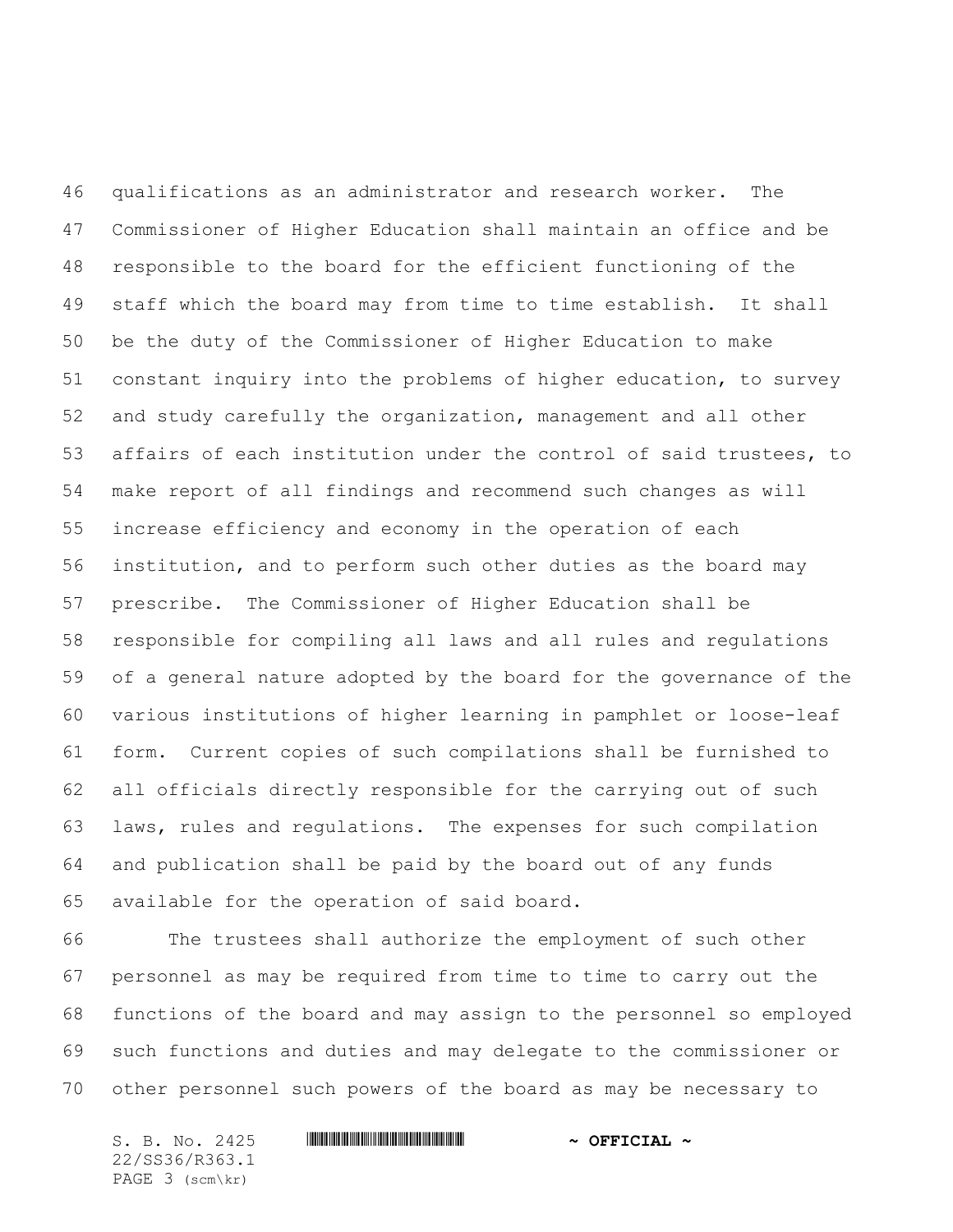qualifications as an administrator and research worker. The Commissioner of Higher Education shall maintain an office and be responsible to the board for the efficient functioning of the staff which the board may from time to time establish. It shall be the duty of the Commissioner of Higher Education to make constant inquiry into the problems of higher education, to survey and study carefully the organization, management and all other affairs of each institution under the control of said trustees, to make report of all findings and recommend such changes as will increase efficiency and economy in the operation of each institution, and to perform such other duties as the board may prescribe. The Commissioner of Higher Education shall be responsible for compiling all laws and all rules and regulations of a general nature adopted by the board for the governance of the various institutions of higher learning in pamphlet or loose-leaf form. Current copies of such compilations shall be furnished to all officials directly responsible for the carrying out of such laws, rules and regulations. The expenses for such compilation and publication shall be paid by the board out of any funds available for the operation of said board.

 The trustees shall authorize the employment of such other personnel as may be required from time to time to carry out the functions of the board and may assign to the personnel so employed such functions and duties and may delegate to the commissioner or other personnel such powers of the board as may be necessary to

S. B. No. 2425 \*SS36/R363.1\* **~ OFFICIAL ~** 22/SS36/R363.1 PAGE 3 (scm\kr)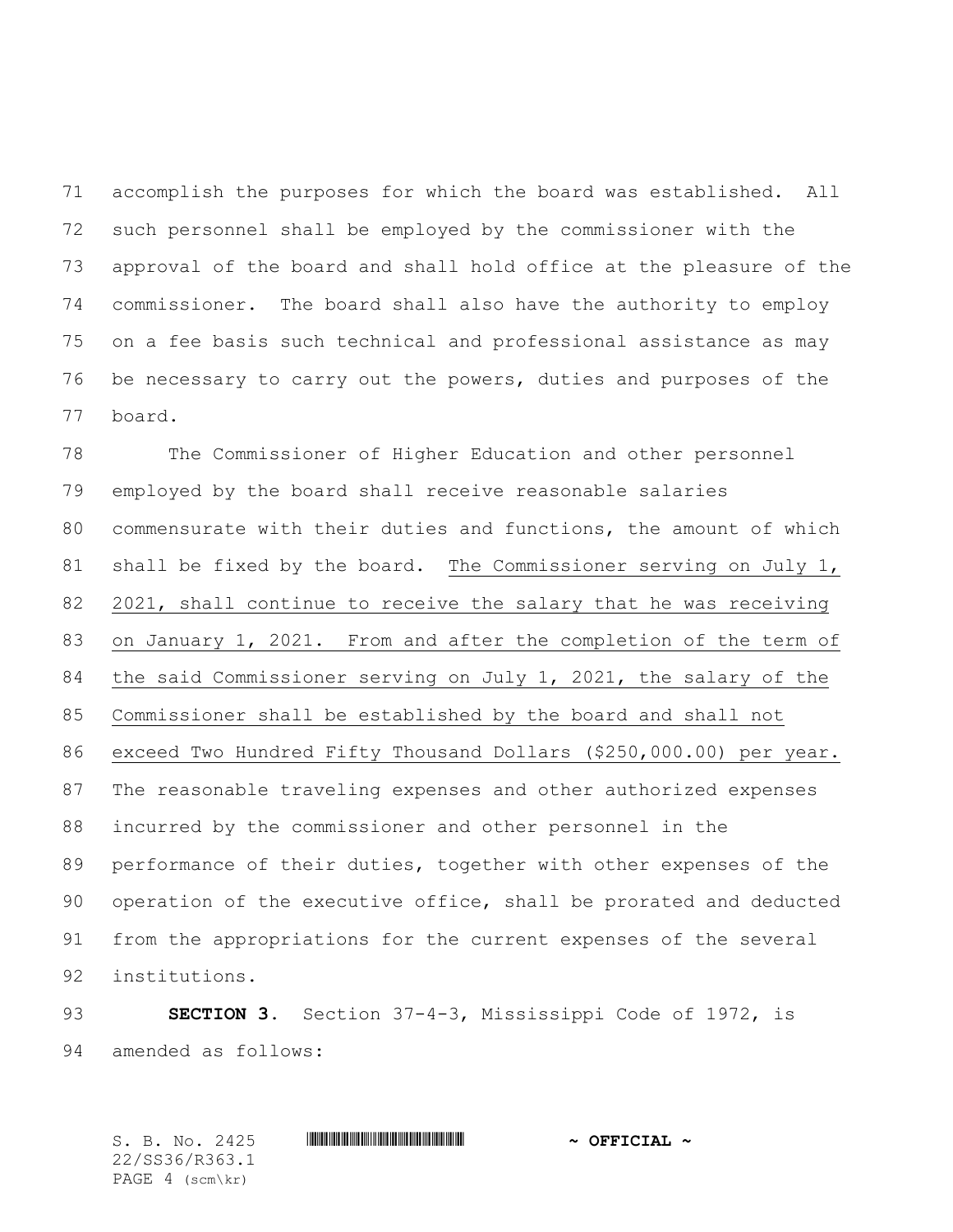accomplish the purposes for which the board was established. All such personnel shall be employed by the commissioner with the approval of the board and shall hold office at the pleasure of the commissioner. The board shall also have the authority to employ on a fee basis such technical and professional assistance as may be necessary to carry out the powers, duties and purposes of the board.

 The Commissioner of Higher Education and other personnel employed by the board shall receive reasonable salaries commensurate with their duties and functions, the amount of which 81 shall be fixed by the board. The Commissioner serving on July 1, 2021, shall continue to receive the salary that he was receiving on January 1, 2021. From and after the completion of the term of the said Commissioner serving on July 1, 2021, the salary of the Commissioner shall be established by the board and shall not exceed Two Hundred Fifty Thousand Dollars (\$250,000.00) per year. The reasonable traveling expenses and other authorized expenses incurred by the commissioner and other personnel in the performance of their duties, together with other expenses of the operation of the executive office, shall be prorated and deducted from the appropriations for the current expenses of the several institutions.

 **SECTION 3.** Section 37-4-3, Mississippi Code of 1972, is amended as follows:

S. B. No. 2425 \*SS36/R363.1\* **~ OFFICIAL ~** 22/SS36/R363.1 PAGE 4 (scm\kr)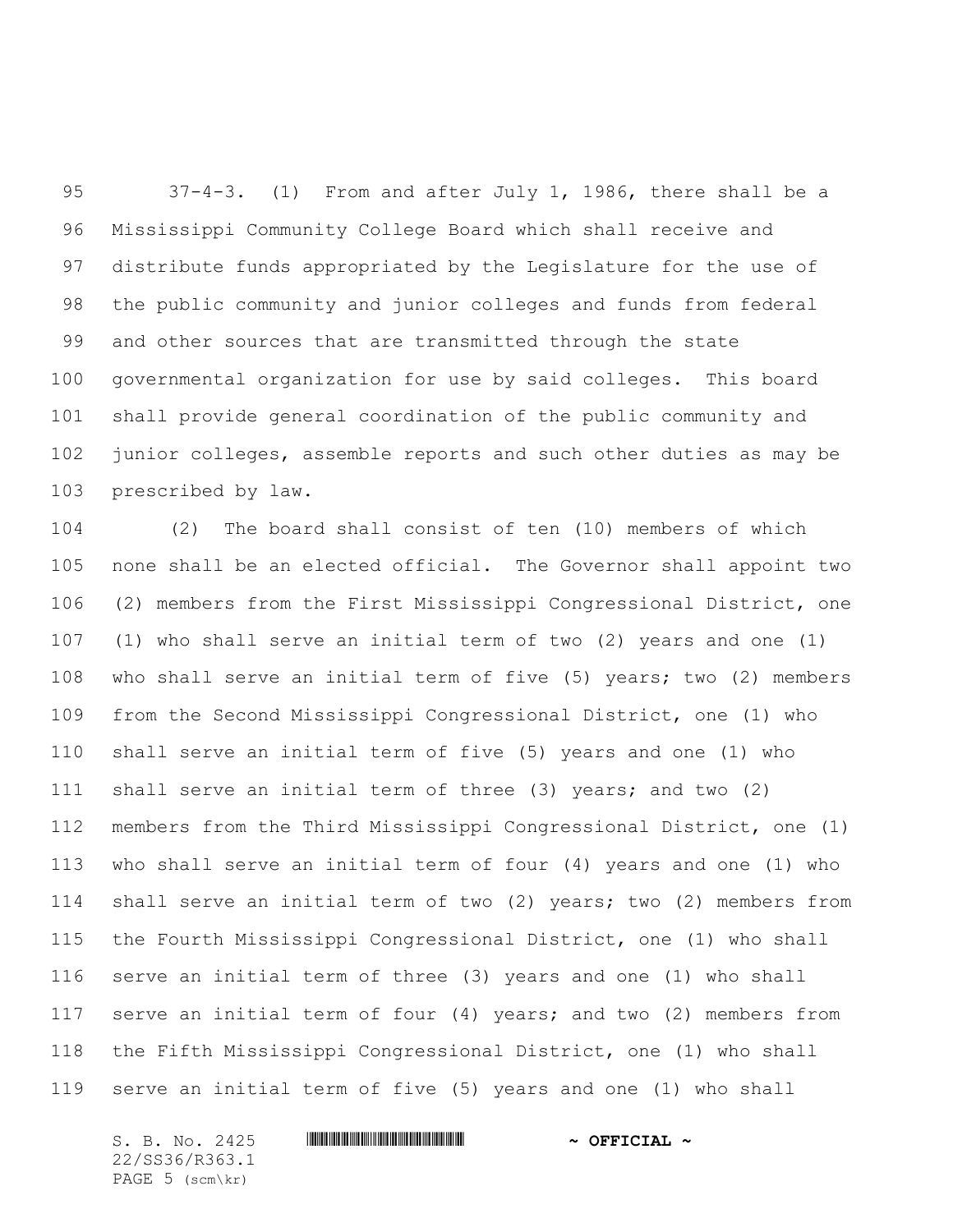37-4-3. (1) From and after July 1, 1986, there shall be a Mississippi Community College Board which shall receive and distribute funds appropriated by the Legislature for the use of the public community and junior colleges and funds from federal and other sources that are transmitted through the state governmental organization for use by said colleges. This board shall provide general coordination of the public community and junior colleges, assemble reports and such other duties as may be prescribed by law.

 (2) The board shall consist of ten (10) members of which none shall be an elected official. The Governor shall appoint two (2) members from the First Mississippi Congressional District, one (1) who shall serve an initial term of two (2) years and one (1) who shall serve an initial term of five (5) years; two (2) members from the Second Mississippi Congressional District, one (1) who shall serve an initial term of five (5) years and one (1) who shall serve an initial term of three (3) years; and two (2) members from the Third Mississippi Congressional District, one (1) who shall serve an initial term of four (4) years and one (1) who shall serve an initial term of two (2) years; two (2) members from the Fourth Mississippi Congressional District, one (1) who shall serve an initial term of three (3) years and one (1) who shall serve an initial term of four (4) years; and two (2) members from the Fifth Mississippi Congressional District, one (1) who shall serve an initial term of five (5) years and one (1) who shall

22/SS36/R363.1 PAGE 5 (scm\kr)

## S. B. No. 2425 \*SS36/R363.1\* **~ OFFICIAL ~**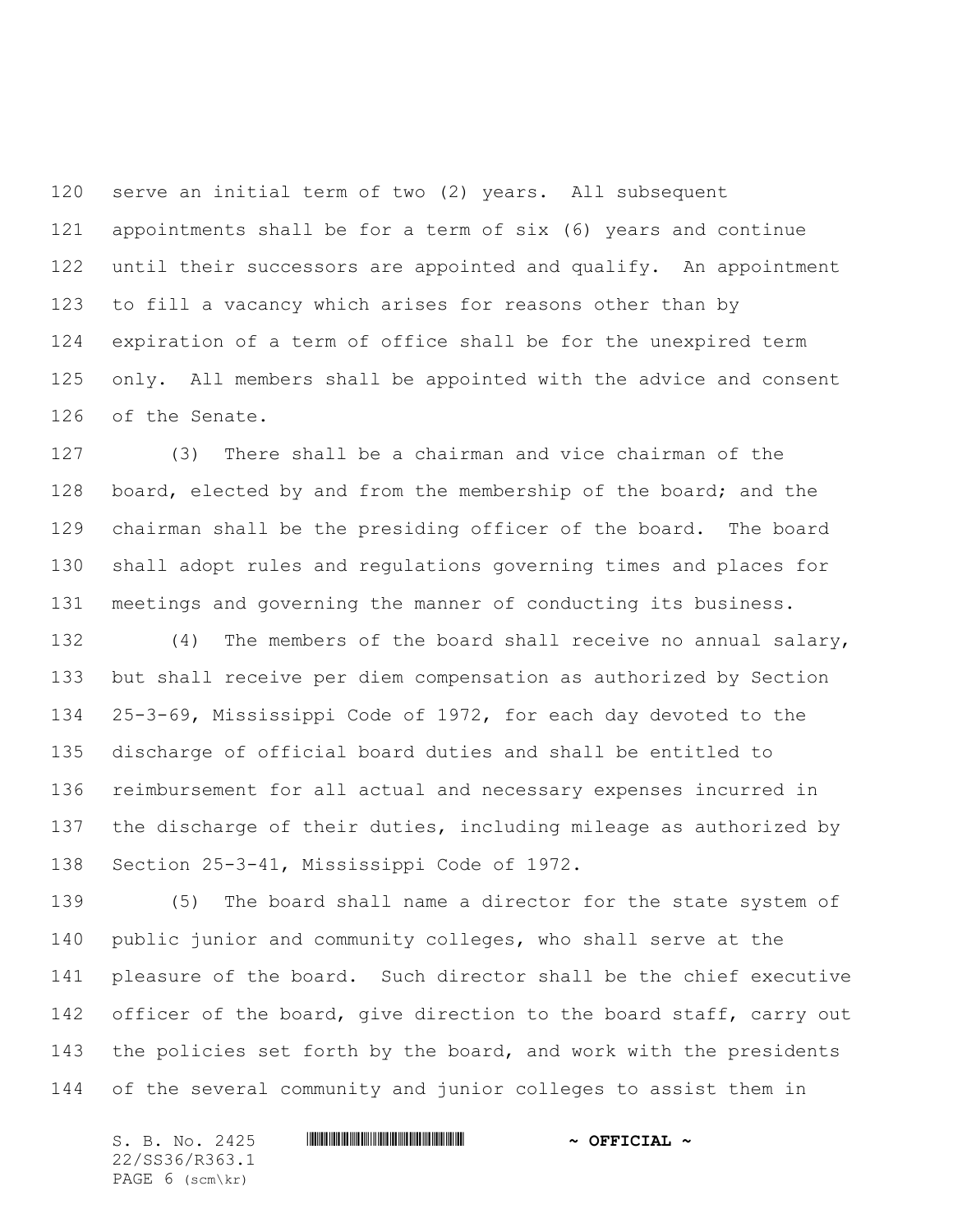serve an initial term of two (2) years. All subsequent appointments shall be for a term of six (6) years and continue 122 until their successors are appointed and qualify. An appointment to fill a vacancy which arises for reasons other than by expiration of a term of office shall be for the unexpired term only. All members shall be appointed with the advice and consent of the Senate.

 (3) There shall be a chairman and vice chairman of the 128 board, elected by and from the membership of the board; and the chairman shall be the presiding officer of the board. The board shall adopt rules and regulations governing times and places for meetings and governing the manner of conducting its business.

 (4) The members of the board shall receive no annual salary, but shall receive per diem compensation as authorized by Section 25-3-69, Mississippi Code of 1972, for each day devoted to the discharge of official board duties and shall be entitled to reimbursement for all actual and necessary expenses incurred in the discharge of their duties, including mileage as authorized by Section 25-3-41, Mississippi Code of 1972.

 (5) The board shall name a director for the state system of public junior and community colleges, who shall serve at the pleasure of the board. Such director shall be the chief executive 142 officer of the board, give direction to the board staff, carry out 143 the policies set forth by the board, and work with the presidents of the several community and junior colleges to assist them in

22/SS36/R363.1 PAGE 6 (scm\kr)

## S. B. No. 2425 \*SS36/R363.1\* **~ OFFICIAL ~**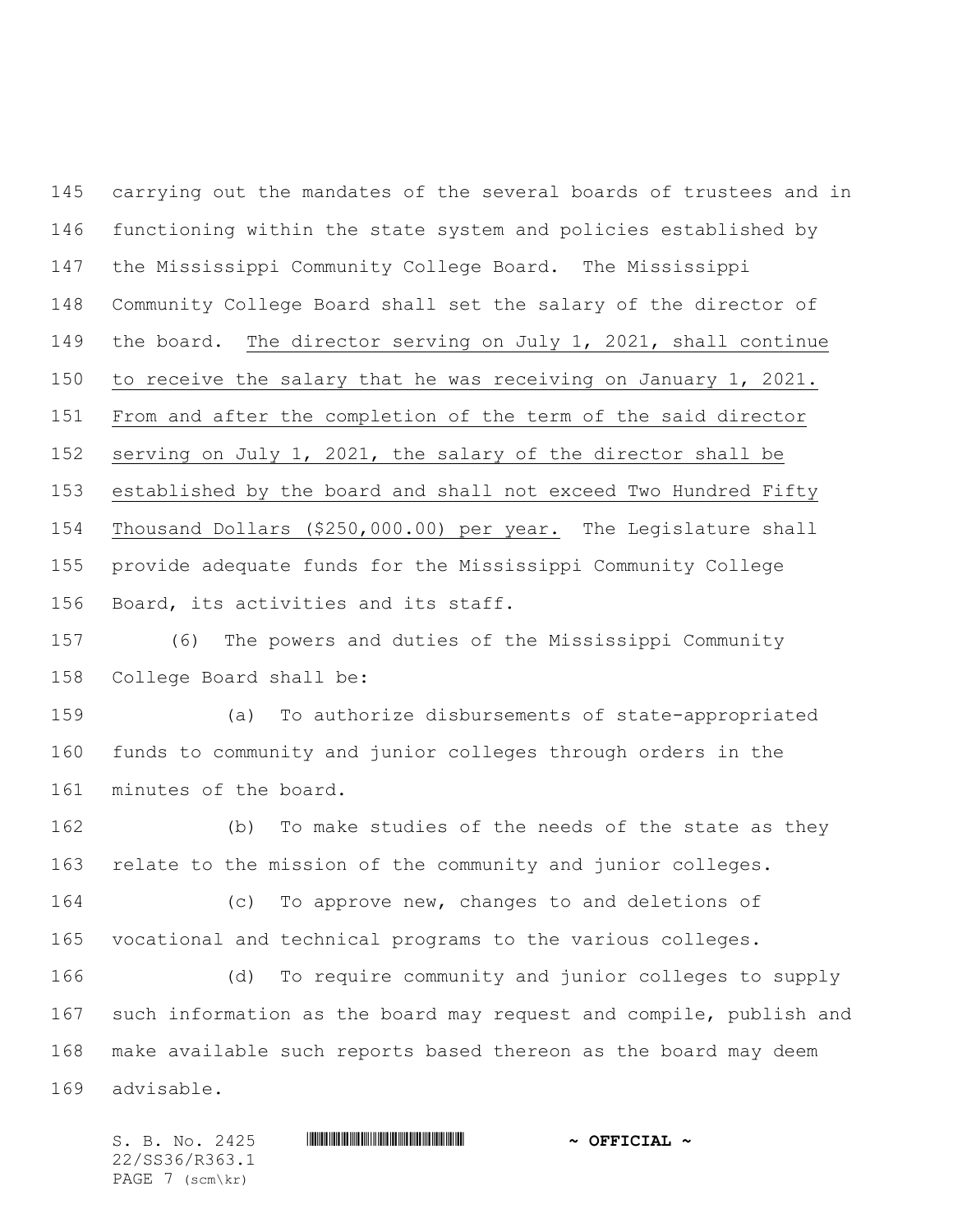carrying out the mandates of the several boards of trustees and in functioning within the state system and policies established by the Mississippi Community College Board. The Mississippi Community College Board shall set the salary of the director of the board. The director serving on July 1, 2021, shall continue to receive the salary that he was receiving on January 1, 2021. From and after the completion of the term of the said director serving on July 1, 2021, the salary of the director shall be established by the board and shall not exceed Two Hundred Fifty Thousand Dollars (\$250,000.00) per year. The Legislature shall provide adequate funds for the Mississippi Community College Board, its activities and its staff.

 (6) The powers and duties of the Mississippi Community College Board shall be:

 (a) To authorize disbursements of state-appropriated funds to community and junior colleges through orders in the minutes of the board.

 (b) To make studies of the needs of the state as they relate to the mission of the community and junior colleges.

 (c) To approve new, changes to and deletions of vocational and technical programs to the various colleges.

 (d) To require community and junior colleges to supply such information as the board may request and compile, publish and make available such reports based thereon as the board may deem advisable.

S. B. No. 2425 \*SS36/R363.1\* **~ OFFICIAL ~** 22/SS36/R363.1 PAGE 7 (scm\kr)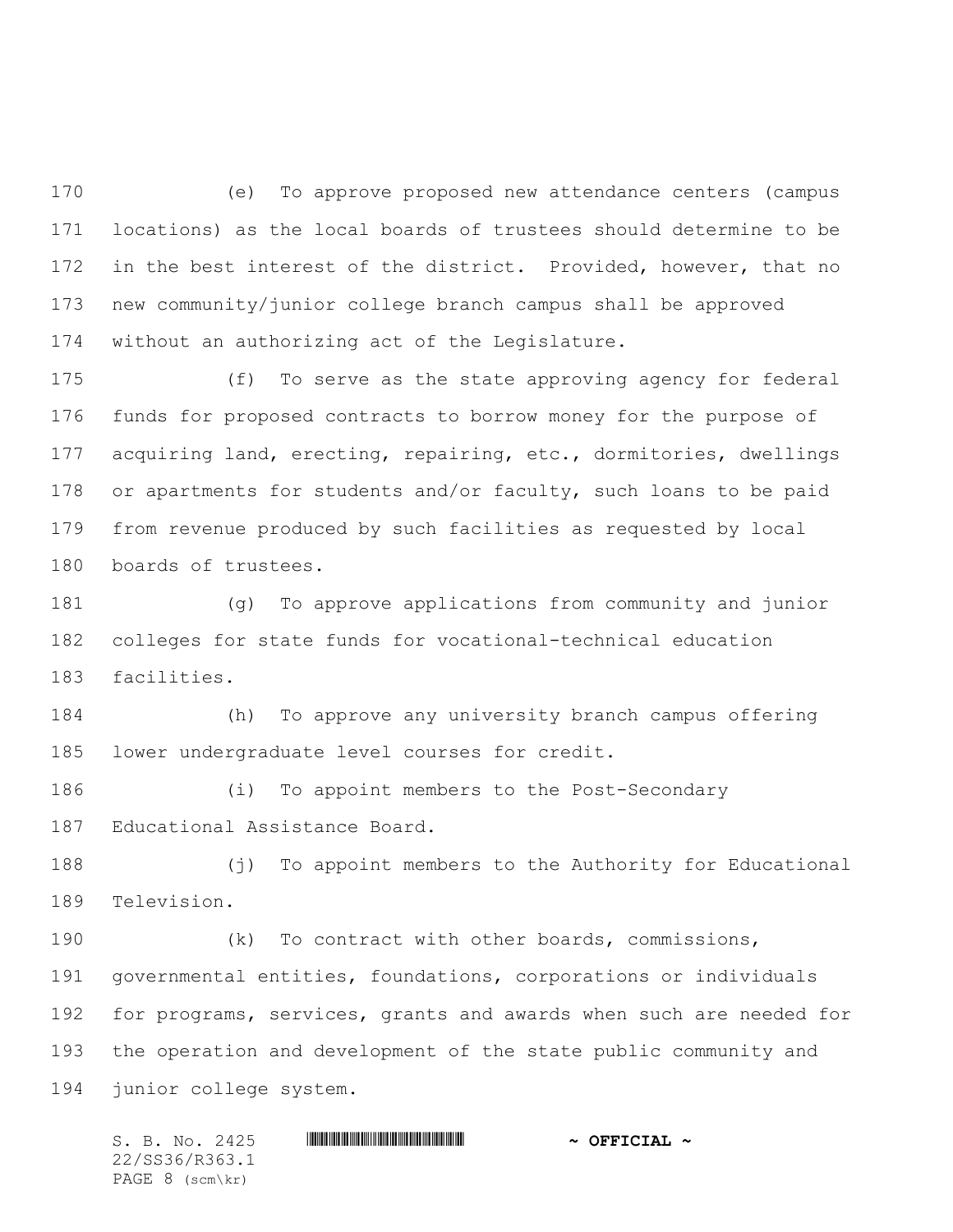(e) To approve proposed new attendance centers (campus locations) as the local boards of trustees should determine to be 172 in the best interest of the district. Provided, however, that no new community/junior college branch campus shall be approved without an authorizing act of the Legislature.

 (f) To serve as the state approving agency for federal funds for proposed contracts to borrow money for the purpose of acquiring land, erecting, repairing, etc., dormitories, dwellings 178 or apartments for students and/or faculty, such loans to be paid from revenue produced by such facilities as requested by local boards of trustees.

 (g) To approve applications from community and junior colleges for state funds for vocational-technical education facilities.

 (h) To approve any university branch campus offering lower undergraduate level courses for credit.

 (i) To appoint members to the Post-Secondary Educational Assistance Board.

 (j) To appoint members to the Authority for Educational Television.

 (k) To contract with other boards, commissions, governmental entities, foundations, corporations or individuals for programs, services, grants and awards when such are needed for the operation and development of the state public community and junior college system.

S. B. No. 2425 \*SS36/R363.1\* **~ OFFICIAL ~** 22/SS36/R363.1 PAGE 8 (scm\kr)